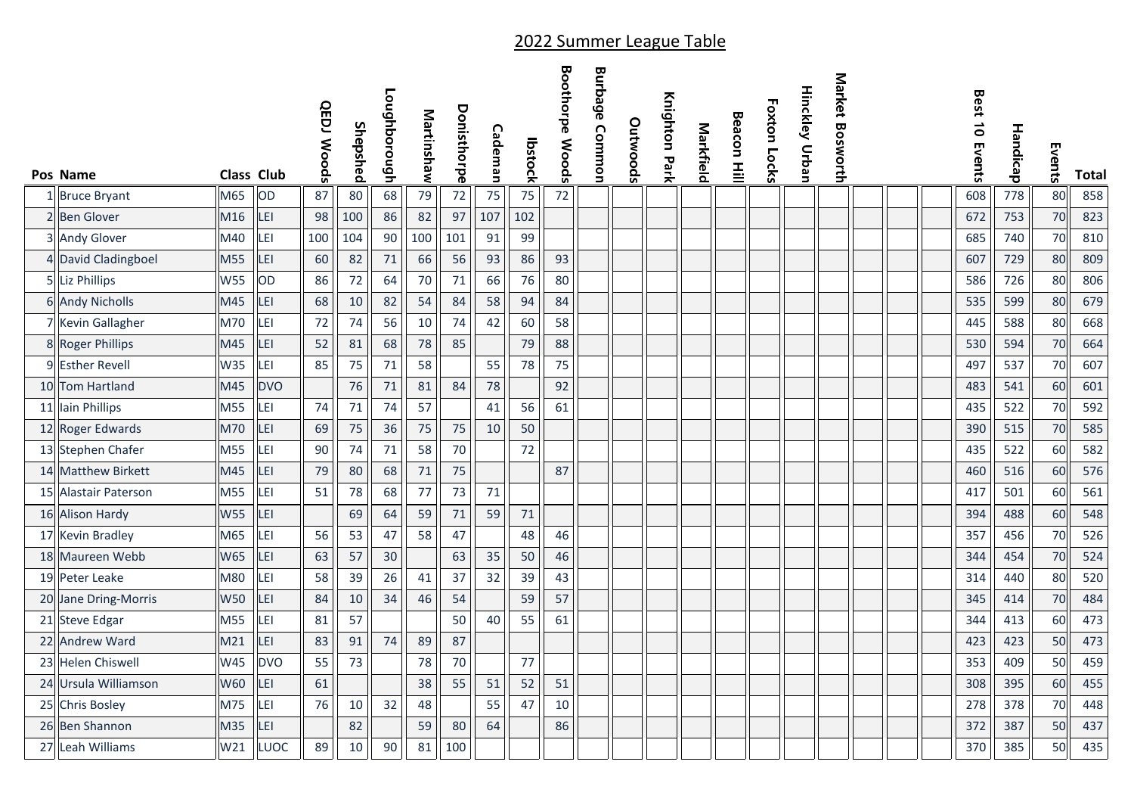|                      |                   |            | <b>QEDJ Woods</b> | Shepshed | Loughborough | Martinshaw | Donisthorpe | Cademan |         | <b>Boothorpe Woods</b> | Burbage<br>Common | Outwoods | Knighton Park | Markfield | Beacon   | <b>Foxton Locks</b> | <b>Hinckley Urban</b> | Market Bosworth |  | Best 10 Events | Handicap |        |       |
|----------------------|-------------------|------------|-------------------|----------|--------------|------------|-------------|---------|---------|------------------------|-------------------|----------|---------------|-----------|----------|---------------------|-----------------------|-----------------|--|----------------|----------|--------|-------|
| Pos Name             | <b>Class Club</b> |            |                   |          |              |            |             |         | lbstock |                        |                   |          |               |           | $\equiv$ |                     |                       |                 |  |                |          | Events | Total |
| 1 Bruce Bryant       | M65               | OD         | 87                | 80       | 68           | 79         | 72          | 75      | 75      | 72                     |                   |          |               |           |          |                     |                       |                 |  | 608            | 778      | 80     | 858   |
| 2 Ben Glover         | M16               | LEI        | 98                | 100      | 86           | 82         | 97          | 107     | 102     |                        |                   |          |               |           |          |                     |                       |                 |  | 672            | 753      | 70     | 823   |
| 3 Andy Glover        | M40               | LEI        | 100               | 104      | 90           | 100        | 101         | 91      | 99      |                        |                   |          |               |           |          |                     |                       |                 |  | 685            | 740      | 70     | 810   |
| 4 David Cladingboel  | M55               | LEI        | 60                | 82       | 71           | 66         | 56          | 93      | 86      | 93                     |                   |          |               |           |          |                     |                       |                 |  | 607            | 729      | 80     | 809   |
| 5 Liz Phillips       | <b>W55</b>        | OD         | 86                | 72       | 64           | 70         | 71          | 66      | 76      | 80                     |                   |          |               |           |          |                     |                       |                 |  | 586            | 726      | 80     | 806   |
| 6 Andy Nicholls      | M45               | LEI        | 68                | 10       | 82           | 54         | 84          | 58      | 94      | 84                     |                   |          |               |           |          |                     |                       |                 |  | 535            | 599      | 80     | 679   |
| 7 Kevin Gallagher    | M70               | LEI        | 72                | 74       | 56           | 10         | 74          | 42      | 60      | 58                     |                   |          |               |           |          |                     |                       |                 |  | 445            | 588      | 80     | 668   |
| 8 Roger Phillips     | M45               | LEI        | 52                | 81       | 68           | $78\,$     | 85          |         | 79      | 88                     |                   |          |               |           |          |                     |                       |                 |  | 530            | 594      | 70     | 664   |
| 9 Esther Revell      | W35               | LEI        | 85                | 75       | $71\,$       | 58         |             | 55      | 78      | 75                     |                   |          |               |           |          |                     |                       |                 |  | 497            | 537      | 70     | 607   |
| 10 Tom Hartland      | M45               | <b>DVO</b> |                   | 76       | 71           | 81         | 84          | 78      |         | 92                     |                   |          |               |           |          |                     |                       |                 |  | 483            | 541      | 60     | 601   |
| 11 Iain Phillips     | M55               | LEI        | 74                | $71$     | 74           | 57         |             | 41      | 56      | 61                     |                   |          |               |           |          |                     |                       |                 |  | 435            | 522      | 70     | 592   |
| 12 Roger Edwards     | M70               | LEI        | 69                | 75       | 36           | 75         | 75          | 10      | 50      |                        |                   |          |               |           |          |                     |                       |                 |  | 390            | 515      | 70     | 585   |
| 13 Stephen Chafer    | M55               | LEI        | 90                | 74       | $71$         | 58         | 70          |         | 72      |                        |                   |          |               |           |          |                     |                       |                 |  | 435            | 522      | 60     | 582   |
| 14 Matthew Birkett   | M45               | LEI        | 79                | 80       | 68           | 71         | 75          |         |         | 87                     |                   |          |               |           |          |                     |                       |                 |  | 460            | 516      | 60     | 576   |
| 15 Alastair Paterson | M55               | LEI        | 51                | 78       | 68           | 77         | 73          | 71      |         |                        |                   |          |               |           |          |                     |                       |                 |  | 417            | 501      | 60     | 561   |
| 16 Alison Hardy      | <b>W55</b>        | LEI        |                   | 69       | 64           | 59         | 71          | 59      | 71      |                        |                   |          |               |           |          |                     |                       |                 |  | 394            | 488      | 60     | 548   |
| 17 Kevin Bradley     | M65               | LEI        | 56                | 53       | 47           | 58         | 47          |         | 48      | 46                     |                   |          |               |           |          |                     |                       |                 |  | 357            | 456      | 70     | 526   |
| 18 Maureen Webb      | <b>W65</b>        | LEI        | 63                | 57       | 30           |            | 63          | 35      | 50      | 46                     |                   |          |               |           |          |                     |                       |                 |  | 344            | 454      | 70     | 524   |
| 19 Peter Leake       | M80               | LEI        | 58                | 39       | 26           | 41         | 37          | 32      | 39      | 43                     |                   |          |               |           |          |                     |                       |                 |  | 314            | 440      | 80     | 520   |
| 20 Jane Dring-Morris | <b>W50</b>        | LEI        | 84                | 10       | 34           | 46         | 54          |         | 59      | 57                     |                   |          |               |           |          |                     |                       |                 |  | 345            | 414      | 70     | 484   |
| 21 Steve Edgar       | M55               | LEI        | 81                | 57       |              |            | 50          | 40      | 55      | 61                     |                   |          |               |           |          |                     |                       |                 |  | 344            | 413      | 60     | 473   |
| 22 Andrew Ward       | M21               | LEI        | 83                | 91       | 74           | 89         | 87          |         |         |                        |                   |          |               |           |          |                     |                       |                 |  | 423            | 423      | 50     | 473   |
| 23 Helen Chiswell    | W45               | <b>DVO</b> | 55                | 73       |              | 78         | 70          |         | 77      |                        |                   |          |               |           |          |                     |                       |                 |  | 353            | 409      | 50     | 459   |
| 24 Ursula Williamson | W60               | LEI        | 61                |          |              | 38         | 55          | 51      | 52      | 51                     |                   |          |               |           |          |                     |                       |                 |  | 308            | 395      | 60     | 455   |
| 25 Chris Bosley      | M75               | LEI        | 76                | 10       | 32           | 48         |             | 55      | 47      | 10                     |                   |          |               |           |          |                     |                       |                 |  | 278            | 378      | 70     | 448   |
| 26 Ben Shannon       | M35               | LEI        |                   | 82       |              | 59         | 80          | 64      |         | 86                     |                   |          |               |           |          |                     |                       |                 |  | 372            | 387      | 50     | 437   |
| 27 Leah Williams     | W21               | LUOC       | 89                | 10       | 90           | 81         | 100         |         |         |                        |                   |          |               |           |          |                     |                       |                 |  | 370            | 385      | 50     | 435   |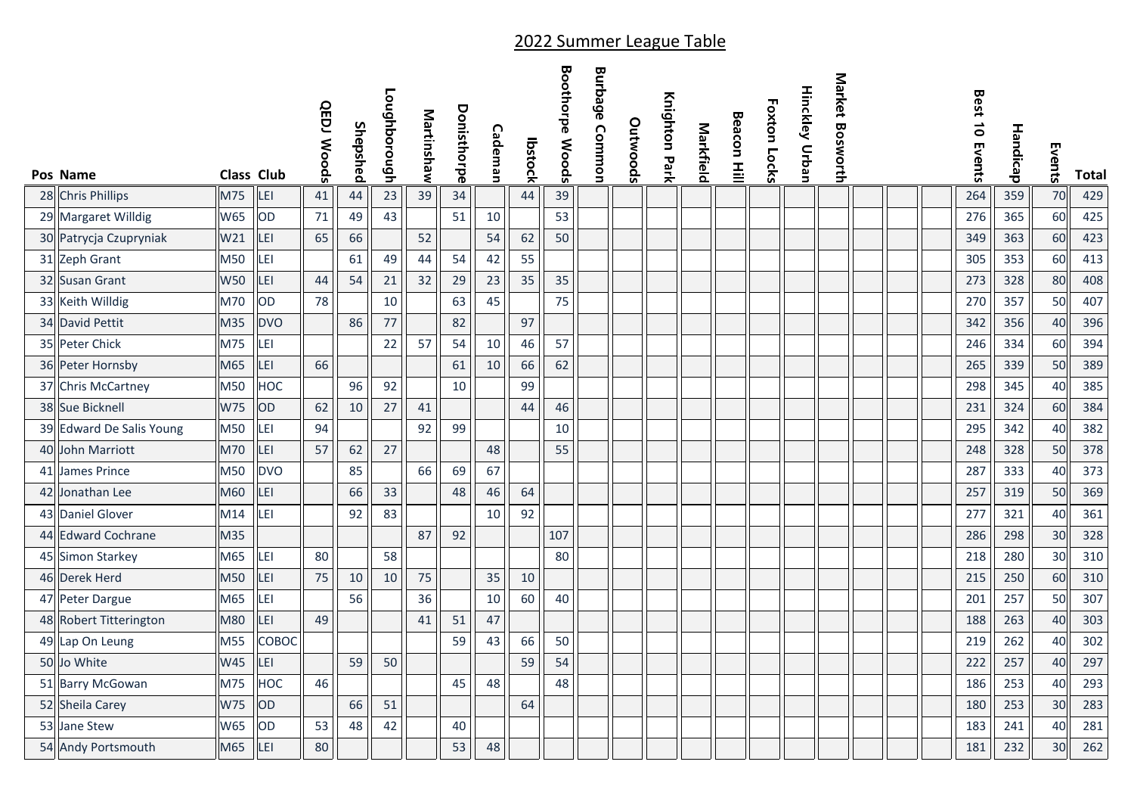| Pos Name                 | <b>Class Club</b> |              | <b>QEDJ Woods</b> | Shepshed | Loughborough | Martinshaw | Donisthorpe | Cademan | lbstock | <b>Boothorpe Woods</b> | <b>Burbage Common</b> | Outwoods | Knighton Park | Markfield | <b>Beacon Hill</b> | Foxton Locks | Hinckley Urban | Market Bosworth |  | Best 10 Events | Handicap | Events | <b>Total</b> |
|--------------------------|-------------------|--------------|-------------------|----------|--------------|------------|-------------|---------|---------|------------------------|-----------------------|----------|---------------|-----------|--------------------|--------------|----------------|-----------------|--|----------------|----------|--------|--------------|
| 28 Chris Phillips        | M75               | LEI          | 41                | 44       | 23           | 39         | 34          |         | 44      | 39                     |                       |          |               |           |                    |              |                |                 |  | 264            | 359      | 70     | 429          |
| 29 Margaret Willdig      | <b>W65</b>        | OD           | 71                | 49       | 43           |            | 51          | 10      |         | 53                     |                       |          |               |           |                    |              |                |                 |  | 276            | 365      | 60     | 425          |
| 30 Patrycja Czupryniak   | W21               | LEI          | 65                | 66       |              | 52         |             | 54      | 62      | 50                     |                       |          |               |           |                    |              |                |                 |  | 349            | 363      | 60     | 423          |
| 31 Zeph Grant            | M50               | LEI          |                   | 61       | 49           | 44         | 54          | 42      | 55      |                        |                       |          |               |           |                    |              |                |                 |  | 305            | 353      | 60     | 413          |
| 32 Susan Grant           | <b>W50</b>        | LEI          | 44                | 54       | 21           | 32         | 29          | 23      | 35      | 35                     |                       |          |               |           |                    |              |                |                 |  | 273            | 328      | 80     | 408          |
| 33 Keith Willdig         | M70               | OD           | 78                |          | 10           |            | 63          | 45      |         | 75                     |                       |          |               |           |                    |              |                |                 |  | 270            | 357      | 50     | 407          |
| 34 David Pettit          | M35               | <b>DVO</b>   |                   | 86       | 77           |            | 82          |         | 97      |                        |                       |          |               |           |                    |              |                |                 |  | 342            | 356      | 40     | 396          |
| 35 Peter Chick           | M75               | LEI          |                   |          | 22           | 57         | 54          | 10      | 46      | 57                     |                       |          |               |           |                    |              |                |                 |  | 246            | 334      | 60     | 394          |
| 36 Peter Hornsby         | M65               | LEI          | 66                |          |              |            | 61          | 10      | 66      | 62                     |                       |          |               |           |                    |              |                |                 |  | 265            | 339      | 50     | 389          |
| 37 Chris McCartney       | M50               | HOC          |                   | 96       | 92           |            | 10          |         | 99      |                        |                       |          |               |           |                    |              |                |                 |  | 298            | 345      | 40     | 385          |
| 38 Sue Bicknell          | <b>W75</b>        | OD           | 62                | 10       | 27           | 41         |             |         | 44      | 46                     |                       |          |               |           |                    |              |                |                 |  | 231            | 324      | 60     | 384          |
| 39 Edward De Salis Young | M50               | LEI          | 94                |          |              | 92         | 99          |         |         | 10                     |                       |          |               |           |                    |              |                |                 |  | 295            | 342      | 40     | 382          |
| 40 John Marriott         | M70               | LEI          | 57                | 62       | 27           |            |             | 48      |         | 55                     |                       |          |               |           |                    |              |                |                 |  | 248            | 328      | 50     | 378          |
| 41 James Prince          | M50               | <b>DVO</b>   |                   | 85       |              | 66         | 69          | 67      |         |                        |                       |          |               |           |                    |              |                |                 |  | 287            | 333      | 40     | 373          |
| 42 Jonathan Lee          | M60               | LEI          |                   | 66       | 33           |            | 48          | 46      | 64      |                        |                       |          |               |           |                    |              |                |                 |  | 257            | 319      | 50     | 369          |
| 43 Daniel Glover         | M14               | LEI          |                   | 92       | 83           |            |             | 10      | 92      |                        |                       |          |               |           |                    |              |                |                 |  | 277            | 321      | 40     | 361          |
| 44 Edward Cochrane       | M35               |              |                   |          |              | 87         | 92          |         |         | 107                    |                       |          |               |           |                    |              |                |                 |  | 286            | 298      | 30     | 328          |
| 45 Simon Starkey         | M65               | LEI          | 80                |          | 58           |            |             |         |         | 80                     |                       |          |               |           |                    |              |                |                 |  | 218            | 280      | 30     | 310          |
| 46 Derek Herd            | M50               | LEI          | 75                | 10       | 10           | 75         |             | 35      | 10      |                        |                       |          |               |           |                    |              |                |                 |  | 215            | 250      | 60     | 310          |
| 47 Peter Dargue          | M65               | LEI          |                   | 56       |              | 36         |             | 10      | 60      | 40                     |                       |          |               |           |                    |              |                |                 |  | 201            | 257      | 50     | 307          |
| 48 Robert Titterington   | M80               | LEI          | 49                |          |              | 41         | 51          | 47      |         |                        |                       |          |               |           |                    |              |                |                 |  | 188            | 263      | 40     | 303          |
| 49 Lap On Leung          | M55               | <b>COBOC</b> |                   |          |              |            | 59          | 43      | 66      | 50                     |                       |          |               |           |                    |              |                |                 |  | 219            | 262      | 40     | 302          |
| 50 Jo White              | W45               | LEI          |                   | 59       | 50           |            |             |         | 59      | 54                     |                       |          |               |           |                    |              |                |                 |  | 222            | 257      | 40     | 297          |
| 51 Barry McGowan         | M75               | <b>HOC</b>   | 46                |          |              |            | 45          | 48      |         | 48                     |                       |          |               |           |                    |              |                |                 |  | 186            | 253      | 40     | 293          |
| 52 Sheila Carey          | <b>W75</b>        | OD           |                   | 66       | 51           |            |             |         | 64      |                        |                       |          |               |           |                    |              |                |                 |  | 180            | 253      | 30     | 283          |
| 53 Jane Stew             | <b>W65</b>        | OD           | 53                | 48       | 42           |            | 40          |         |         |                        |                       |          |               |           |                    |              |                |                 |  | 183            | 241      | 40     | 281          |
| 54 Andy Portsmouth       | M65               | LEI          | 80                |          |              |            | 53          | 48      |         |                        |                       |          |               |           |                    |              |                |                 |  | 181            | 232      | 30     | 262          |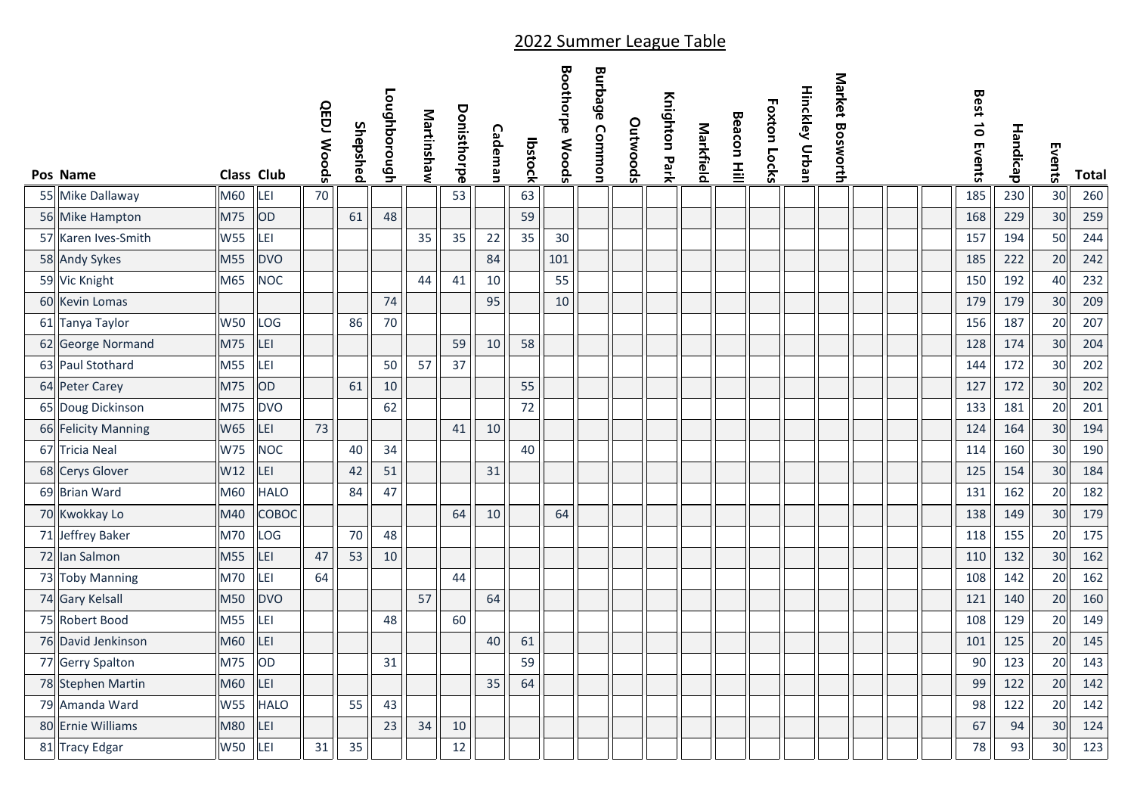| Pos Name            | <b>Class Club</b> |             | <b>QEDJ Woods</b> | Shepshed | Loughborough | Martinshaw | Donisthorpe | Cademan | lbstock | <b>Boothorpe Woods</b> | <b>Burbage Common</b> | Outwoods | Knighton Park | Markfield | <b>Beacon Hill</b> | Foxton Locks | <b>Hinckley Urban</b> | Market Bosworth |  | Best 10 Events | Handicap | Events | <b>Total</b> |
|---------------------|-------------------|-------------|-------------------|----------|--------------|------------|-------------|---------|---------|------------------------|-----------------------|----------|---------------|-----------|--------------------|--------------|-----------------------|-----------------|--|----------------|----------|--------|--------------|
| 55 Mike Dallaway    | M60               | LEI         | 70                |          |              |            | 53          |         | 63      |                        |                       |          |               |           |                    |              |                       |                 |  | 185            | 230      | 30     | 260          |
| 56 Mike Hampton     | M75               | OD          |                   | 61       | 48           |            |             |         | 59      |                        |                       |          |               |           |                    |              |                       |                 |  | 168            | 229      | 30     | 259          |
| 57 Karen Ives-Smith | <b>W55</b>        | LEI         |                   |          |              | 35         | 35          | 22      | 35      | 30                     |                       |          |               |           |                    |              |                       |                 |  | 157            | 194      | 50     | 244          |
| 58 Andy Sykes       | M55               | <b>DVO</b>  |                   |          |              |            |             | 84      |         | 101                    |                       |          |               |           |                    |              |                       |                 |  | 185            | 222      | 20     | 242          |
| 59 Vic Knight       | M65               | <b>NOC</b>  |                   |          |              | 44         | 41          | 10      |         | 55                     |                       |          |               |           |                    |              |                       |                 |  | 150            | 192      | 40     | 232          |
| 60 Kevin Lomas      |                   |             |                   |          | 74           |            |             | 95      |         | 10                     |                       |          |               |           |                    |              |                       |                 |  | 179            | 179      | 30     | 209          |
| 61 Tanya Taylor     | <b>W50</b>        | LOG         |                   | 86       | 70           |            |             |         |         |                        |                       |          |               |           |                    |              |                       |                 |  | 156            | 187      | 20     | 207          |
| 62 George Normand   | M75               | LEI         |                   |          |              |            | 59          | 10      | 58      |                        |                       |          |               |           |                    |              |                       |                 |  | 128            | 174      | 30     | 204          |
| 63 Paul Stothard    | M55               | LEI         |                   |          | 50           | 57         | 37          |         |         |                        |                       |          |               |           |                    |              |                       |                 |  | 144            | 172      | 30     | 202          |
| 64 Peter Carey      | M75               | OD          |                   | 61       | 10           |            |             |         | 55      |                        |                       |          |               |           |                    |              |                       |                 |  | 127            | 172      | 30     | 202          |
| 65 Doug Dickinson   | M75               | <b>DVO</b>  |                   |          | 62           |            |             |         | 72      |                        |                       |          |               |           |                    |              |                       |                 |  | 133            | 181      | 20     | 201          |
| 66 Felicity Manning | W65               | LEI         | 73                |          |              |            | 41          | 10      |         |                        |                       |          |               |           |                    |              |                       |                 |  | 124            | 164      | 30     | 194          |
| 67 Tricia Neal      | <b>W75</b>        | <b>NOC</b>  |                   | 40       | 34           |            |             |         | 40      |                        |                       |          |               |           |                    |              |                       |                 |  | 114            | 160      | 30     | 190          |
| 68 Cerys Glover     | W12               | LEI         |                   | 42       | 51           |            |             | 31      |         |                        |                       |          |               |           |                    |              |                       |                 |  | 125            | 154      | 30     | 184          |
| 69 Brian Ward       | M60               | <b>HALO</b> |                   | 84       | 47           |            |             |         |         |                        |                       |          |               |           |                    |              |                       |                 |  | 131            | 162      | 20     | 182          |
| 70 Kwokkay Lo       | M40               | COBOC       |                   |          |              |            | 64          | 10      |         | 64                     |                       |          |               |           |                    |              |                       |                 |  | 138            | 149      | 30     | 179          |
| 71 Jeffrey Baker    | M70               | LOG         |                   | 70       | 48           |            |             |         |         |                        |                       |          |               |           |                    |              |                       |                 |  | 118            | 155      | 20     | 175          |
| 72 Ian Salmon       | M55               | LEI         | 47                | 53       | 10           |            |             |         |         |                        |                       |          |               |           |                    |              |                       |                 |  | 110            | 132      | 30     | 162          |
| 73 Toby Manning     | M70               | LEI         | 64                |          |              |            | 44          |         |         |                        |                       |          |               |           |                    |              |                       |                 |  | 108            | 142      | 20     | 162          |
| 74 Gary Kelsall     | M50               | <b>DVO</b>  |                   |          |              | 57         |             | 64      |         |                        |                       |          |               |           |                    |              |                       |                 |  | 121            | 140      | 20     | 160          |
| 75 Robert Bood      | M55               | LEI         |                   |          | 48           |            | 60          |         |         |                        |                       |          |               |           |                    |              |                       |                 |  | 108            | 129      | 20     | 149          |
| 76 David Jenkinson  | M60               | LEI         |                   |          |              |            |             | 40      | 61      |                        |                       |          |               |           |                    |              |                       |                 |  | 101            | 125      | 20     | 145          |
| 77 Gerry Spalton    | M75               | OD          |                   |          | 31           |            |             |         | 59      |                        |                       |          |               |           |                    |              |                       |                 |  | 90             | 123      | 20     | 143          |
| 78 Stephen Martin   | M60               | LEI         |                   |          |              |            |             | 35      | 64      |                        |                       |          |               |           |                    |              |                       |                 |  | 99             | 122      | 20     | 142          |
| 79 Amanda Ward      | <b>W55</b>        | <b>HALO</b> |                   | 55       | 43           |            |             |         |         |                        |                       |          |               |           |                    |              |                       |                 |  | 98             | 122      | 20     | 142          |
| 80 Ernie Williams   | M80               | LEI         |                   |          | 23           | 34         | 10          |         |         |                        |                       |          |               |           |                    |              |                       |                 |  | 67             | 94       | 30     | 124          |
| 81 Tracy Edgar      | <b>W50</b>        | LEI         | 31                | 35       |              |            | 12          |         |         |                        |                       |          |               |           |                    |              |                       |                 |  | 78             | 93       | 30     | 123          |